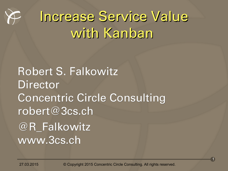

# Increase Service Value with Kanban

Robert S. Falkowitz **Director** Concentric Circle Consulting robert@3cs.ch @R\_Falkowitz www.3cs.ch

27.03.2015 © Copyright 2015 Concentric Circle Consulting. All rights reserved.

1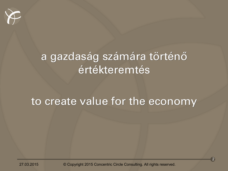

#### a gazdaság számára történő értékteremtés

#### to create value for the economy

27.03.2015 © Copyright 2015 Concentric Circle Consulting. All rights reserved.

2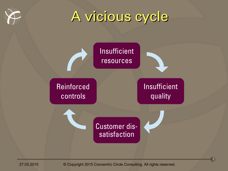

### A vicious cycle

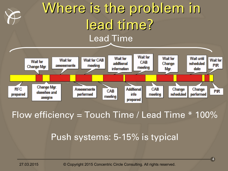#### Where is the problem in lead time? Lead Time Wait for **Wait for Wait for Wait until Wait for Wait for CAB Wait for Wait for** CAB additional scheduled Change assessments meeting **PIR** Change Mgr. meeting information Mgr. date

#### Flow efficiency = Touch Time / Lead Time  $*$  100%

CAB

meeting

**Assessments** 

performed

Additional

info

prepared

CAB

meeting

Change

scheduled

Change

performed

#### Push systems: 5-15% is typical

**RFC** 

prepared

Change Mgr.

classifies and

assigns

27.03.2015 © Copyright 2015 Concentric Circle Consulting. All rights reserved.

**PIR**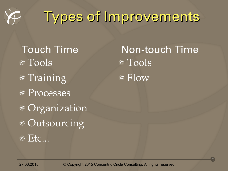

# Types of Improvements

 $\angle$  Tools  $*$  Training Processes Organization Outsourcing  $E$  Etc...

 $\sqrt{\pi \cosh \frac{\pi}{2}}$  $\mathcal F$  Flow Touch Time Non-touch Time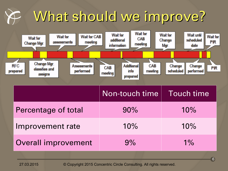# What should we improve?

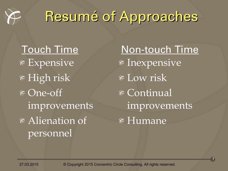

### Resumé of Approaches

Expensive  $*$  High risk One-off improvements Alienation of personnel

Inexpensive  $\overline{\mathscr{F}}$  Low risk  $\overline{\ast}$  Continual improvements Humane Touch Time Non-touch Time

7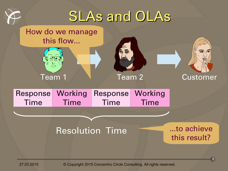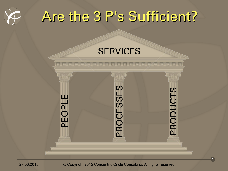



#### **SERVICES**

 $\mathsf{\Omega}$  . E O $\mathsf{\Omega}$  . L E P $\alpha$ O $\mathbf{\mathbf{\mathbf{\mathbf{\mathbf{C}}}}}$ E  $\boldsymbol{\mathcal{S}}$  $\boldsymbol{\mathcal{S}}$ E  $\boldsymbol{\mathcal{S}}$  $\mathsf{\Omega}$  .  $\sim$ O $\Box$  $\Box$  $\mathbf{\mathbf{\mathbf{\mathbf{\mathbf{C}}}}}$ **The Co**  $\boldsymbol{\mathcal{S}}$ 

27.03.2015 © Copyright 2015 Concentric Circle Consulting. All rights reserved.

9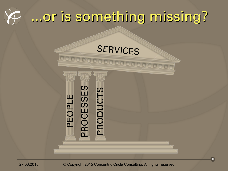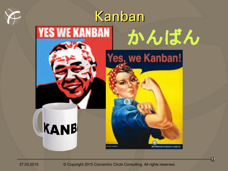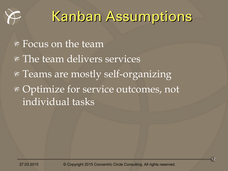

### Kanban Assumptions

 $\triangleright$  Focus on the team \* The team delivers services Teams are mostly self-organizing Optimize for service outcomes, not individual tasks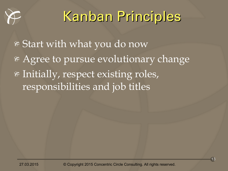

# Kanban Principles

Start with what you do now Agree to pursue evolutionary change Initially, respect existing roles, responsibilities and job titles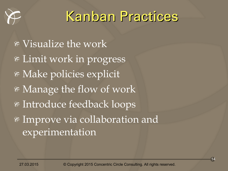

#### Kanban Practices

 $\sqrt{\frac{1}{18}}$  Visualize the work Limit work in progress Make policies explicit Manage the flow of work Introduce feedback loops Improve via collaboration and experimentation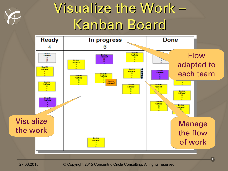

### Visualize the Work – Kanban Board

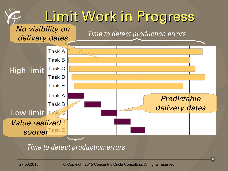#### Limit Work in Progress No visibility on Time to detect production errors delivery dates Task A **Task B Task C** High limit Task D **Task E Task A Predictable Task B** delivery dates Low limit Task & Value realized

Time to detect production errors

sooner<sup>Task E</sup>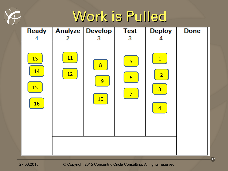

### Work is Pulled

| <b>Ready</b>                              |                 | Analyze Develop | <b>Test</b>                                     | <b>Deploy</b>                                                      | <b>Done</b> |
|-------------------------------------------|-----------------|-----------------|-------------------------------------------------|--------------------------------------------------------------------|-------------|
| 4                                         | $\overline{2}$  | 3               | 3                                               | 4                                                                  |             |
| 13<br><b>14</b><br><b>15</b><br><b>16</b> | <b>11</b><br>12 | 8<br>9<br>10    | 5<br>$6 \overline{}$<br>$\overline{\mathbf{7}}$ | $\mathbf{1}$<br>$\overline{2}$<br>$\overline{3}$<br>$\overline{4}$ |             |

27.03.2015 © Copyright 2015 Concentric Circle Consulting. All rights reserved.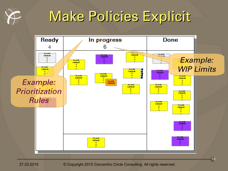

### Make Policies Explicit

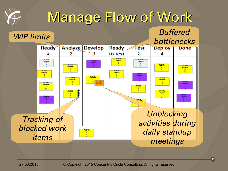## Manage Flow of Work

#### WIP limits

#### **Buffered** bottlenecks

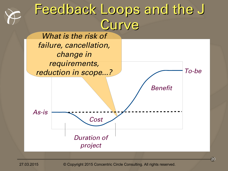#### Feedback Loops and the J **Curve**

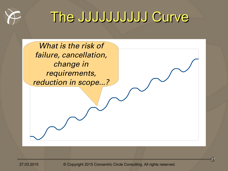

#### The JJJJJJJJJJ Curve

What is the risk of failure, cancellation, change in requirements, reduction in scope...?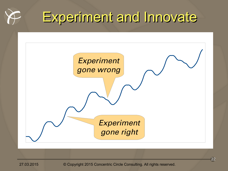

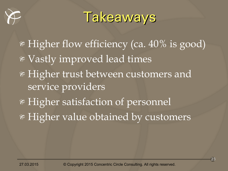

#### **Takeaways**

Higher flow efficiency (ca. 40% is good) Vastly improved lead times Higher trust between customers and service providers Higher satisfaction of personnel Higher value obtained by customers